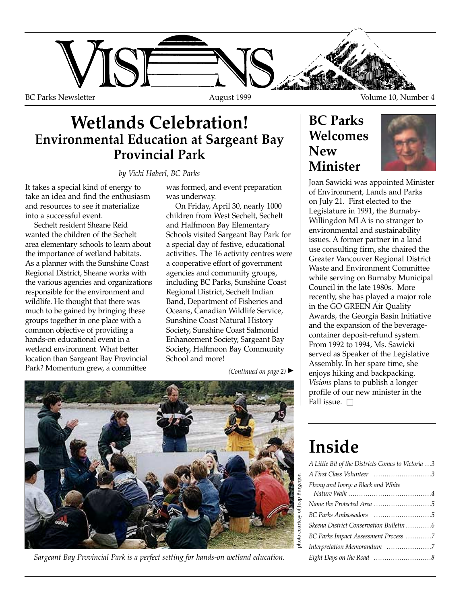

#### **Wetlands Celebration! Environmental Education at Sargeant Bay Provincial Park**

*by Vicki Haberl, BC Parks*

It takes a special kind of energy to take an idea and find the enthusiasm and resources to see it materialize into a successful event.

Sechelt resident Sheane Reid wanted the children of the Sechelt area elementary schools to learn about the importance of wetland habitats. As a planner with the Sunshine Coast Regional District, Sheane works with the various agencies and organizations responsible for the environment and wildlife. He thought that there was much to be gained by bringing these groups together in one place with a common objective of providing a hands-on educational event in a wetland environment. What better location than Sargeant Bay Provincial Park? Momentum grew, a committee

was formed, and event preparation was underway.

On Friday, April 30, nearly 1000 children from West Sechelt, Sechelt and Halfmoon Bay Elementary Schools visited Sargeant Bay Park for a special day of festive, educational activities. The 16 activity centres were a cooperative effort of government agencies and community groups, including BC Parks, Sunshine Coast Regional District, Sechelt Indian Band, Department of Fisheries and Oceans, Canadian Wildlife Service, Sunshine Coast Natural History Society, Sunshine Coast Salmonid Enhancement Society, Sargeant Bay Society, Halfmoon Bay Community School and more!

*(Continued on page 2)* ▲



*Sargeant Bay Provincial Park is a perfect setting for hands-on wetland education.*

#### **BC Parks Welcomes New Minister**



Joan Sawicki was appointed Minister of Environment, Lands and Parks on July 21. First elected to the Legislature in 1991, the Burnaby-Willingdon MLA is no stranger to environmental and sustainability issues. A former partner in a land use consulting firm, she chaired the Greater Vancouver Regional District Waste and Environment Committee while serving on Burnaby Municipal Council in the late 1980s. More recently, she has played a major role in the GO GREEN Air Quality Awards, the Georgia Basin Initiative and the expansion of the beveragecontainer deposit-refund system. From 1992 to 1994, Ms. Sawicki served as Speaker of the Legislative Assembly. In her spare time, she enjoys hiking and backpacking. *Visions* plans to publish a longer profile of our new minister in the Fall issue.  $\Box$ 

### **Inside**

| A Little Bit of the Districts Comes to Victoria 3 |
|---------------------------------------------------|
| A First Class Volunteer 3                         |
| Ebony and Ivory: a Black and White                |
|                                                   |
|                                                   |
| Skeena District Conservation Bulletin 6           |
| BC Parks Impact Assessment Process 7              |
| Interpretation Memorandum 7                       |
|                                                   |
|                                                   |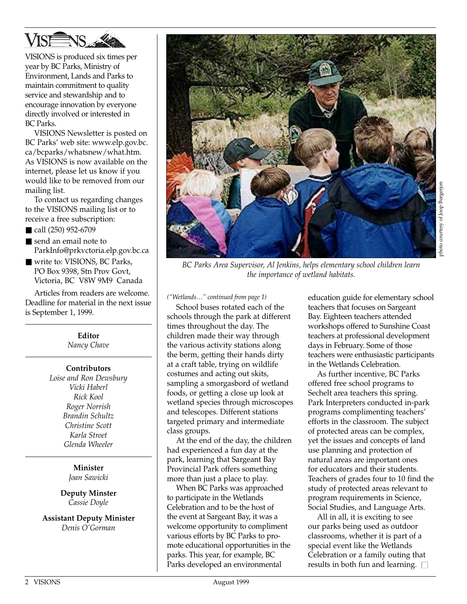

VISIONS is produced six times per year by BC Parks, Ministry of Environment, Lands and Parks to maintain commitment to quality service and stewardship and to encourage innovation by everyone directly involved or interested in BC Parks.

VISIONS Newsletter is posted on BC Parks' web site: www.elp.gov.bc. ca/bcparks/whatsnew/what.htm. As VISIONS is now available on the internet, please let us know if you would like to be removed from our mailing list.

To contact us regarding changes to the VISIONS mailing list or to receive a free subscription:

- call (250) 952-6709
- send an email note to ParkInfo@prkvctoria.elp.gov.bc.ca
- write to: VISIONS, BC Parks, PO Box 9398, Stn Prov Govt, Victoria, BC V8W 9M9 Canada

Articles from readers are welcome. Deadline for material in the next issue is September 1, 1999.

> **Editor** *Nancy Chave*

#### **Contributors**

*Loise and Ron Dewsbury Vicki Haberl Rick Kool Roger Norrish Brandin Schultz Christine Scott Karla Stroet Glenda Wheeler*

> **Minister** *Joan Sawicki*

**Deputy Minster** *Cassie Doyle*

**Assistant Deputy Minister** *Denis O'Gorman*



*BC Parks Area Supervisor, Al Jenkins, helps elementary school children learn the importance of wetland habitats.*

*("Wetlands…" continued from page 1)*

School buses rotated each of the schools through the park at different times throughout the day. The children made their way through the various activity stations along the berm, getting their hands dirty at a craft table, trying on wildlife costumes and acting out skits, sampling a smorgasbord of wetland foods, or getting a close up look at wetland species through microscopes and telescopes. Different stations targeted primary and intermediate class groups.

At the end of the day, the children had experienced a fun day at the park, learning that Sargeant Bay Provincial Park offers something more than just a place to play.

When BC Parks was approached to participate in the Wetlands Celebration and to be the host of the event at Sargeant Bay, it was a welcome opportunity to compliment various efforts by BC Parks to promote educational opportunities in the parks. This year, for example, BC Parks developed an environmental

education guide for elementary school teachers that focuses on Sargeant Bay. Eighteen teachers attended workshops offered to Sunshine Coast teachers at professional development days in February. Some of those teachers were enthusiastic participants in the Wetlands Celebration.

As further incentive, BC Parks offered free school programs to Sechelt area teachers this spring. Park Interpreters conducted in-park programs complimenting teachers' efforts in the classroom. The subject of protected areas can be complex, yet the issues and concepts of land use planning and protection of natural areas are important ones for educators and their students. Teachers of grades four to 10 find the study of protected areas relevant to program requirements in Science, Social Studies, and Language Arts.

All in all, it is exciting to see our parks being used as outdoor classrooms, whether it is part of a special event like the Wetlands Celebration or a family outing that results in both fun and learning.  $\square$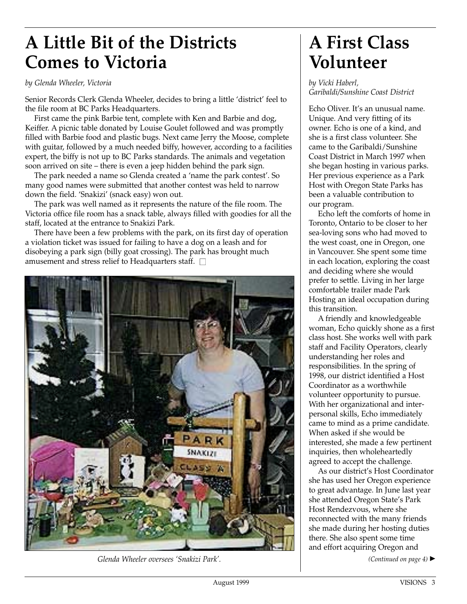# **A Little Bit of the Districts Comes to Victoria**

#### *by Glenda Wheeler, Victoria*

Senior Records Clerk Glenda Wheeler, decides to bring a little 'district' feel to the file room at BC Parks Headquarters.

First came the pink Barbie tent, complete with Ken and Barbie and dog, Keiffer. A picnic table donated by Louise Goulet followed and was promptly filled with Barbie food and plastic bugs. Next came Jerry the Moose, complete with guitar, followed by a much needed biffy, however, according to a facilities expert, the biffy is not up to BC Parks standards. The animals and vegetation soon arrived on site – there is even a jeep hidden behind the park sign.

The park needed a name so Glenda created a 'name the park contest'. So many good names were submitted that another contest was held to narrow down the field. 'Snakizi' (snack easy) won out.

The park was well named as it represents the nature of the file room. The Victoria office file room has a snack table, always filled with goodies for all the staff, located at the entrance to Snakizi Park.

There have been a few problems with the park, on its first day of operation a violation ticket was issued for failing to have a dog on a leash and for disobeying a park sign (billy goat crossing). The park has brought much amusement and stress relief to Headquarters staff.  $\square$ 



*Glenda Wheeler oversees 'Snakizi Park'.*

### **A First Class Volunteer**

*by Vicki Haberl, Garibaldi/Sunshine Coast District*

Echo Oliver. It's an unusual name. Unique. And very fitting of its owner. Echo is one of a kind, and she is a first class volunteer. She came to the Garibaldi/Sunshine Coast District in March 1997 when she began hosting in various parks. Her previous experience as a Park Host with Oregon State Parks has been a valuable contribution to our program.

Echo left the comforts of home in Toronto, Ontario to be closer to her sea-loving sons who had moved to the west coast, one in Oregon, one in Vancouver. She spent some time in each location, exploring the coast and deciding where she would prefer to settle. Living in her large comfortable trailer made Park Hosting an ideal occupation during this transition.

A friendly and knowledgeable woman, Echo quickly shone as a first class host. She works well with park staff and Facility Operators, clearly understanding her roles and responsibilities. In the spring of 1998, our district identified a Host Coordinator as a worthwhile volunteer opportunity to pursue. With her organizational and interpersonal skills, Echo immediately came to mind as a prime candidate. When asked if she would be interested, she made a few pertinent inquiries, then wholeheartedly agreed to accept the challenge.

As our district's Host Coordinator she has used her Oregon experience to great advantage. In June last year she attended Oregon State's Park Host Rendezvous, where she reconnected with the many friends she made during her hosting duties there. She also spent some time and effort acquiring Oregon and

*(Continued on page 4)* ▲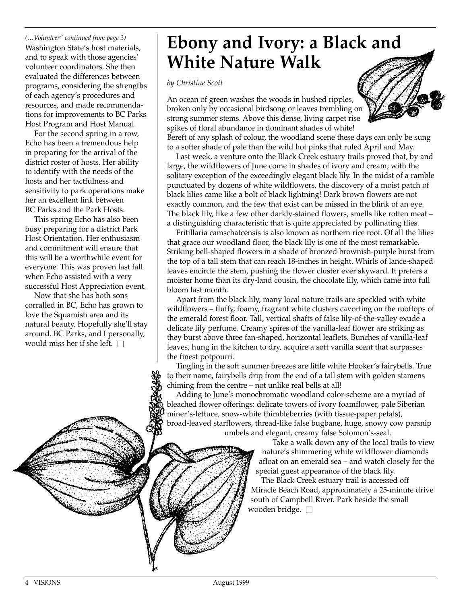*(…Volunteer" continued from page 3)* Washington State's host materials, and to speak with those agencies' volunteer coordinators. She then evaluated the differences between programs, considering the strengths of each agency's procedures and resources, and made recommendations for improvements to BC Parks Host Program and Host Manual.

For the second spring in a row, Echo has been a tremendous help in preparing for the arrival of the district roster of hosts. Her ability to identify with the needs of the hosts and her tactfulness and sensitivity to park operations make her an excellent link between BC Parks and the Park Hosts.

This spring Echo has also been busy preparing for a district Park Host Orientation. Her enthusiasm and commitment will ensure that this will be a worthwhile event for everyone. This was proven last fall when Echo assisted with a very successful Host Appreciation event.

Now that she has both sons corralled in BC, Echo has grown to love the Squamish area and its natural beauty. Hopefully she'll stay around. BC Parks, and I personally, would miss her if she left.  $\square$ 

# **Ebony and Ivory: a Black and White Nature Walk**

*by Christine Scott*

An ocean of green washes the woods in hushed ripples, broken only by occasional birdsong or leaves trembling on strong summer stems. Above this dense, living carpet rise spikes of floral abundance in dominant shades of white! Bereft of any splash of colour, the woodland scene these days can only be sung to a softer shade of pale than the wild hot pinks that ruled April and May.

Last week, a venture onto the Black Creek estuary trails proved that, by and large, the wildflowers of June come in shades of ivory and cream; with the solitary exception of the exceedingly elegant black lily. In the midst of a ramble punctuated by dozens of white wildflowers, the discovery of a moist patch of black lilies came like a bolt of black lightning! Dark brown flowers are not exactly common, and the few that exist can be missed in the blink of an eye. The black lily, like a few other darkly-stained flowers, smells like rotten meat – a distinguishing characteristic that is quite appreciated by pollinating flies.

Fritillaria camschatcensis is also known as northern rice root. Of all the lilies that grace our woodland floor, the black lily is one of the most remarkable. Striking bell-shaped flowers in a shade of bronzed brownish-purple burst from the top of a tall stem that can reach 18-inches in height. Whirls of lance-shaped leaves encircle the stem, pushing the flower cluster ever skyward. It prefers a moister home than its dry-land cousin, the chocolate lily, which came into full bloom last month.

Apart from the black lily, many local nature trails are speckled with white wildflowers – fluffy, foamy, fragrant white clusters cavorting on the rooftops of the emerald forest floor. Tall, vertical shafts of false lily-of-the-valley exude a delicate lily perfume. Creamy spires of the vanilla-leaf flower are striking as they burst above three fan-shaped, horizontal leaflets. Bunches of vanilla-leaf leaves, hung in the kitchen to dry, acquire a soft vanilla scent that surpasses the finest potpourri.

Tingling in the soft summer breezes are little white Hooker's fairybells. True to their name, fairybells drip from the end of a tall stem with golden stamens chiming from the centre – not unlike real bells at all!

Adding to June's monochromatic woodland color-scheme are a myriad of bleached flower offerings: delicate towers of ivory foamflower, pale Siberian miner's-lettuce, snow-white thimbleberries (with tissue-paper petals), broad-leaved starflowers, thread-like false bugbane, huge, snowy cow parsnip umbels and elegant, creamy false Solomon's-seal.

> Take a walk down any of the local trails to view nature's shimmering white wildflower diamonds afloat on an emerald sea – and watch closely for the special guest appearance of the black lily.

The Black Creek estuary trail is accessed off Miracle Beach Road, approximately a 25-minute drive south of Campbell River. Park beside the small wooden bridge.  $\square$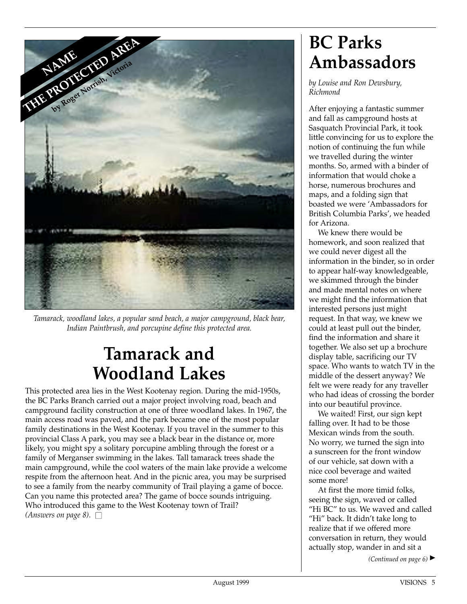

*Tamarack, woodland lakes, a popular sand beach, a major campground, black bear, Indian Paintbrush, and porcupine define this protected area.*

# **Tamarack and Woodland Lakes**

This protected area lies in the West Kootenay region. During the mid-1950s, the BC Parks Branch carried out a major project involving road, beach and campground facility construction at one of three woodland lakes. In 1967, the main access road was paved, and the park became one of the most popular family destinations in the West Kootenay. If you travel in the summer to this provincial Class A park, you may see a black bear in the distance or, more likely, you might spy a solitary porcupine ambling through the forest or a family of Merganser swimming in the lakes. Tall tamarack trees shade the main campground, while the cool waters of the main lake provide a welcome respite from the afternoon heat. And in the picnic area, you may be surprised to see a family from the nearby community of Trail playing a game of bocce. Can you name this protected area? The game of bocce sounds intriguing. Who introduced this game to the West Kootenay town of Trail? *(Answers on page 8).*  $\square$ 

# **BC Parks Ambassadors**

*by Louise and Ron Dewsbury, Richmond*

After enjoying a fantastic summer and fall as campground hosts at Sasquatch Provincial Park, it took little convincing for us to explore the notion of continuing the fun while we travelled during the winter months. So, armed with a binder of information that would choke a horse, numerous brochures and maps, and a folding sign that boasted we were 'Ambassadors for British Columbia Parks', we headed for Arizona.

We knew there would be homework, and soon realized that we could never digest all the information in the binder, so in order to appear half-way knowledgeable, we skimmed through the binder and made mental notes on where we might find the information that interested persons just might request. In that way, we knew we could at least pull out the binder, find the information and share it together. We also set up a brochure display table, sacrificing our TV space. Who wants to watch TV in the middle of the dessert anyway? We felt we were ready for any traveller who had ideas of crossing the border into our beautiful province.

We waited! First, our sign kept falling over. It had to be those Mexican winds from the south. No worry, we turned the sign into a sunscreen for the front window of our vehicle, sat down with a nice cool beverage and waited some more!

At first the more timid folks, seeing the sign, waved or called "Hi BC" to us. We waved and called "Hi" back. It didn't take long to realize that if we offered more conversation in return, they would actually stop, wander in and sit a

*(Continued on page 6)* ▲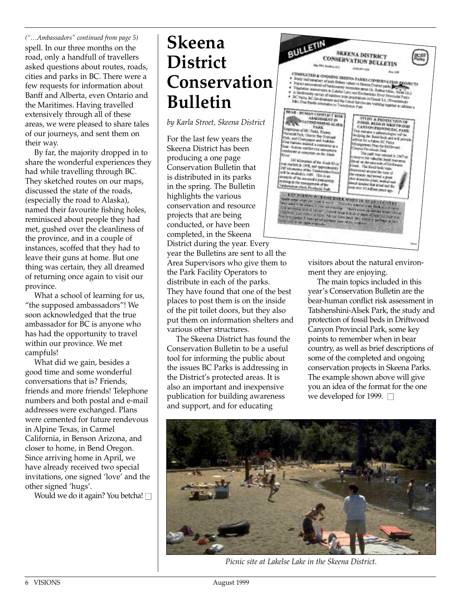*("…Ambassadors" continued from page 5)* spell. In our three months on the road, only a handfull of travellers asked questions about routes, roads, cities and parks in BC. There were a few requests for information about Banff and Alberta, even Ontario and the Maritimes. Having travelled extensively through all of these areas, we were pleased to share tales of our journeys, and sent them on their way.

By far, the majority dropped in to share the wonderful experiences they had while travelling through BC. They sketched routes on our maps, discussed the state of the roads, (especially the road to Alaska), named their favourite fishing holes, reminisced about people they had met, gushed over the cleanliness of the province, and in a couple of instances, scoffed that they had to leave their guns at home. But one thing was certain, they all dreamed of returning once again to visit our province.

What a school of learning for us, "the supposed ambassadors"! We soon acknowledged that the true ambassador for BC is anyone who has had the opportunity to travel within our province. We met campfuls!

What did we gain, besides a good time and some wonderful conversations that is? Friends, friends and more friends! Telephone numbers and both postal and e-mail addresses were exchanged. Plans were cemented for future rendevous in Alpine Texas, in Carmel California, in Benson Arizona, and closer to home, in Bend Oregon. Since arriving home in April, we have already received two special invitations, one signed 'love' and the other signed 'hugs'.

Would we do it again? You betcha!  $\square$ 

## **Skeena District Conservation Bulletin**

*by Karla Stroet, Skeena District*

For the last few years the Skeena District has been producing a one page Conservation Bulletin that is distributed in its parks in the spring. The Bulletin highlights the various conservation and resource projects that are being conducted, or have been completed, in the Skeena

District during the year. Every year the Bulletins are sent to all the Area Supervisors who give them to the Park Facility Operators to distribute in each of the parks. They have found that one of the best places to post them is on the inside of the pit toilet doors, but they also put them on information shelters and various other structures.

The Skeena District has found the Conservation Bulletin to be a useful tool for informing the public about the issues BC Parks is addressing in the District's protected areas. It is also an important and inexpensive publication for building awareness and support, and for educating



visitors about the natural environment they are enjoying.

The main topics included in this year's Conservation Bulletin are the bear-human conflict risk assessment in Tatshenshini-Alsek Park, the study and protection of fossil beds in Driftwood Canyon Provincial Park, some key points to remember when in bear country, as well as brief descriptions of some of the completed and ongoing conservation projects in Skeena Parks. The example shown above will give you an idea of the format for the one we developed for 1999.  $\Box$ 



*Picnic site at Lakelse Lake in the Skeena District.*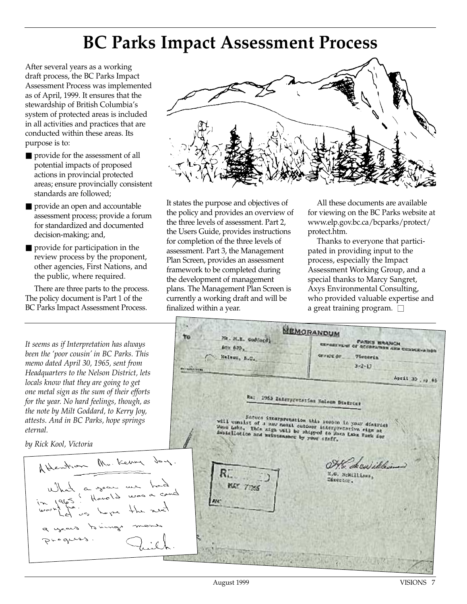## **BC Parks Impact Assessment Process**

After several years as a working draft process, the BC Parks Impact Assessment Process was implemented as of April, 1999. It ensures that the stewardship of British Columbia's system of protected areas is included in all activities and practices that are conducted within these areas. Its purpose is to:

- provide for the assessment of all potential impacts of proposed actions in provincial protected areas; ensure provincially consistent standards are followed;
- provide an open and accountable assessment process; provide a forum for standardized and documented decision-making; and,
- provide for participation in the review process by the proponent, other agencies, First Nations, and the public, where required.

There are three parts to the process. The policy document is Part 1 of the BC Parks Impact Assessment Process.

*It seems as if Interpretation has always been the 'poor cousin' in BC Parks. This memo dated April 30, 1965, sent from Headquarters to the Nelson District, lets locals know that they are going to get one metal sign as the sum of their efforts for the year. No hard feelings, though, as the note by Milt Goddard, to Kerry Joy, attests. And in BC Parks, hope springs eternal.*

*by Rick Kool, Victoria*

Atlention Mr. Kerry Joy. a gear we he Drogues



It states the purpose and objectives of the policy and provides an overview of the three levels of assessment. Part 2, the Users Guide, provides instructions for completion of the three levels of assessment. Part 3, the Management Plan Screen, provides an assessment framework to be completed during the development of management plans. The Management Plan Screen is currently a working draft and will be finalized within a year.

All these documents are available for viewing on the BC Parks website at www.elp.gov.bc.ca/bcparks/protect/ protect.htm.

Thanks to everyone that participated in providing input to the process, especially the Impact Assessment Working Group, and a special thanks to Marcy Sangret, Axys Environmental Consulting, who provided valuable expertise and a great training program.  $\square$ 

MEMORANDUM To Mr. M.E. Codince) **PARKS BRANCH** 801 625. **DEFECT OF** Nation, S.C., *Victoria*  $3 - 2 - 17$ April 30 . 10 65 Ra: 1955 Interpretation Noteen District Sature innergramation this season in your district<br>ist of a may metal cuboosy informations of their will consist of a may metal concoor interpretation of your district<br>When Lebe, This sign with be shipped to your stip at<br>shadelletics and metalson by your staff,<br>and Lebe and metalsons by your staff, <sup>2</sup>de en idéa I.C. NeWLILLOWS, Streeter. KAT 7125